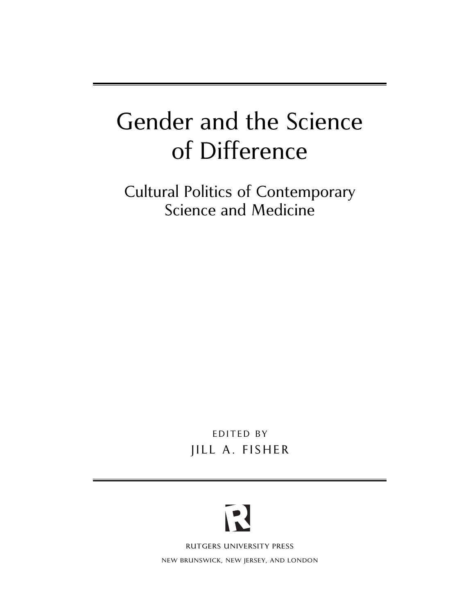## Gender and the Science of Difference

Cultural Politics of Contemporary Science and Medicine

> EDITED BY JILL A. FISHER

# P

RUTGERS UNIVERSITY PRESS

NEW BRUNSWICK, NEW JERSEY, AND LONDON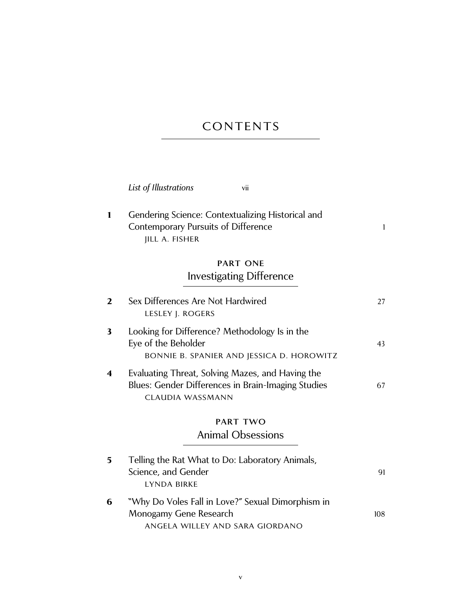### **CONTENTS**

|                         | List of Illustrations<br>vii                                                                                                      |     |
|-------------------------|-----------------------------------------------------------------------------------------------------------------------------------|-----|
| $\mathbf{1}$            | Gendering Science: Contextualizing Historical and<br><b>Contemporary Pursuits of Difference</b><br><b>JILL A. FISHER</b>          | 1   |
|                         | <b>PART ONE</b><br><b>Investigating Difference</b>                                                                                |     |
| $\mathbf{2}$            | Sex Differences Are Not Hardwired<br><b>LESLEY J. ROGERS</b>                                                                      | 27  |
| $\overline{\mathbf{3}}$ | Looking for Difference? Methodology Is in the<br>Eye of the Beholder<br>BONNIE B. SPANIER AND JESSICA D. HOROWITZ                 | 43  |
| $\overline{\mathbf{4}}$ | Evaluating Threat, Solving Mazes, and Having the<br>Blues: Gender Differences in Brain-Imaging Studies<br><b>CLAUDIA WASSMANN</b> | 67  |
|                         | <b>PART TWO</b><br><b>Animal Obsessions</b>                                                                                       |     |
| 5                       | Telling the Rat What to Do: Laboratory Animals,<br>Science, and Gender<br><b>LYNDA BIRKE</b>                                      | 91  |
| 6                       | "Why Do Voles Fall in Love?" Sexual Dimorphism in<br>Monogamy Gene Research<br>ANGELA WILLEY AND SARA GIORDANO                    | 108 |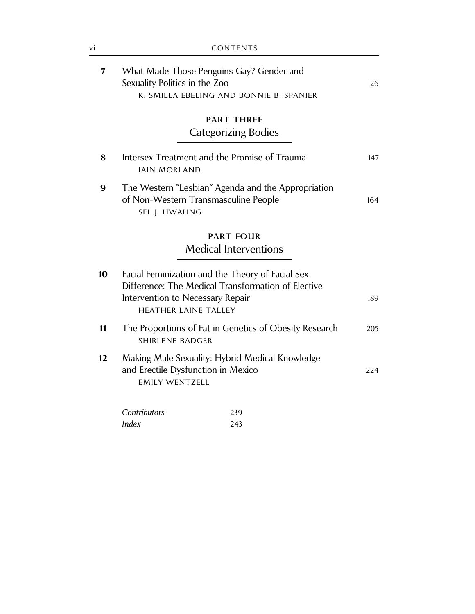| vi               |                                                                                                                | CONTENTS                                                                                               |     |
|------------------|----------------------------------------------------------------------------------------------------------------|--------------------------------------------------------------------------------------------------------|-----|
| $\overline{7}$   | What Made Those Penguins Gay? Gender and<br>Sexuality Politics in the Zoo                                      |                                                                                                        |     |
|                  |                                                                                                                | K. SMILLA EBELING AND BONNIE B. SPANIER                                                                |     |
|                  |                                                                                                                | <b>PART THREE</b>                                                                                      |     |
|                  |                                                                                                                | <b>Categorizing Bodies</b>                                                                             |     |
| 8                | <b>IAIN MORLAND</b>                                                                                            | Intersex Treatment and the Promise of Trauma                                                           | 147 |
| $\boldsymbol{9}$ |                                                                                                                | The Western "Lesbian" Agenda and the Appropriation                                                     |     |
|                  | SEL J. HWAHNG                                                                                                  | of Non-Western Transmasculine People                                                                   | 164 |
|                  |                                                                                                                | <b>PART FOUR</b>                                                                                       |     |
|                  |                                                                                                                | <b>Medical Interventions</b>                                                                           |     |
| 10               |                                                                                                                | Facial Feminization and the Theory of Facial Sex<br>Difference: The Medical Transformation of Elective |     |
|                  | Intervention to Necessary Repair<br><b>HEATHER LAINE TALLEY</b>                                                |                                                                                                        | 189 |
| 11               | The Proportions of Fat in Genetics of Obesity Research<br><b>SHIRLENE BADGER</b>                               |                                                                                                        | 205 |
| 12               | Making Male Sexuality: Hybrid Medical Knowledge<br>and Erectile Dysfunction in Mexico<br><b>EMILY WENTZELL</b> |                                                                                                        | 224 |
|                  | Contributors                                                                                                   | 239                                                                                                    |     |
|                  |                                                                                                                |                                                                                                        |     |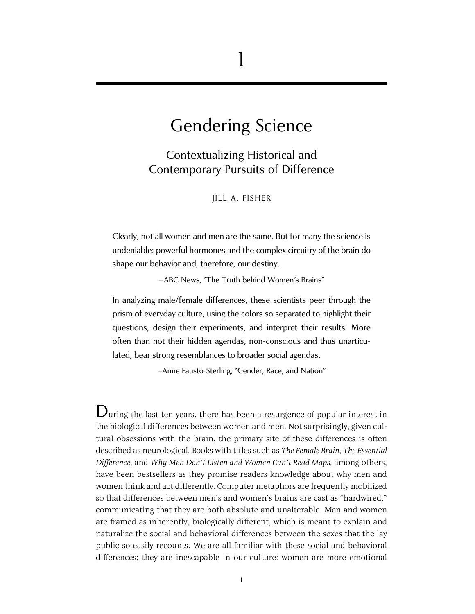## Gendering Science

Contextualizing Historical and Contemporary Pursuits of Difference

JILL A. FISHER

Clearly, not all women and men are the same. But for many the science is undeniable: powerful hormones and the complex circuitry of the brain do shape our behavior and, therefore, our destiny.

—ABC News, "The Truth behind Women's Brains"

In analyzing male/female differences, these scientists peer through the prism of everyday culture, using the colors so separated to highlight their questions, design their experiments, and interpret their results. More often than not their hidden agendas, non-conscious and thus unarticulated, bear strong resemblances to broader social agendas.

—Anne Fausto-Sterling, "Gender, Race, and Nation"

 ${\rm D}$ uring the last ten years, there has been a resurgence of popular interest in the biological differences between women and men. Not surprisingly, given cultural obsessions with the brain, the primary site of these differences is often described as neurological. Books with titles such as *The Female Brain, The Essential Difference,* and *Why Men Don't Listen and Women Can't Read Maps,* among others, have been bestsellers as they promise readers knowledge about why men and women think and act differently. Computer metaphors are frequently mobilized so that differences between men's and women's brains are cast as "hardwired," communicating that they are both absolute and unalterable. Men and women are framed as inherently, biologically different, which is meant to explain and naturalize the social and behavioral differences between the sexes that the lay public so easily recounts. We are all familiar with these social and behavioral differences; they are inescapable in our culture: women are more emotional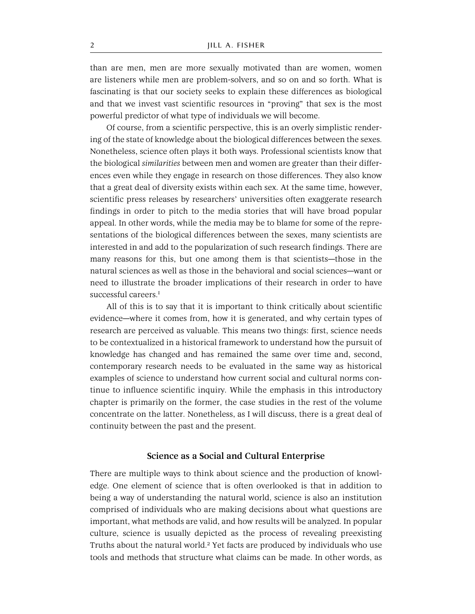than are men, men are more sexually motivated than are women, women are listeners while men are problem-solvers, and so on and so forth. What is fascinating is that our society seeks to explain these differences as biological and that we invest vast scientific resources in "proving" that sex is the most powerful predictor of what type of individuals we will become.

Of course, from a scientific perspective, this is an overly simplistic rendering of the state of knowledge about the biological differences between the sexes. Nonetheless, science often plays it both ways. Professional scientists know that the biological *similarities* between men and women are greater than their differences even while they engage in research on those differences. They also know that a great deal of diversity exists within each sex. At the same time, however, scientific press releases by researchers' universities often exaggerate research findings in order to pitch to the media stories that will have broad popular appeal. In other words, while the media may be to blame for some of the representations of the biological differences between the sexes, many scientists are interested in and add to the popularization of such research findings. There are many reasons for this, but one among them is that scientists—those in the natural sciences as well as those in the behavioral and social sciences—want or need to illustrate the broader implications of their research in order to have successful careers.<sup>1</sup>

All of this is to say that it is important to think critically about scientific evidence—where it comes from, how it is generated, and why certain types of research are perceived as valuable. This means two things: first, science needs to be contextualized in a historical framework to understand how the pursuit of knowledge has changed and has remained the same over time and, second, contemporary research needs to be evaluated in the same way as historical examples of science to understand how current social and cultural norms continue to influence scientific inquiry. While the emphasis in this introductory chapter is primarily on the former, the case studies in the rest of the volume concentrate on the latter. Nonetheless, as I will discuss, there is a great deal of continuity between the past and the present.

#### Science as a Social and Cultural Enterprise

There are multiple ways to think about science and the production of knowledge. One element of science that is often overlooked is that in addition to being a way of understanding the natural world, science is also an institution comprised of individuals who are making decisions about what questions are important, what methods are valid, and how results will be analyzed. In popular culture, science is usually depicted as the process of revealing preexisting Truths about the natural world.<sup>2</sup> Yet facts are produced by individuals who use tools and methods that structure what claims can be made. In other words, as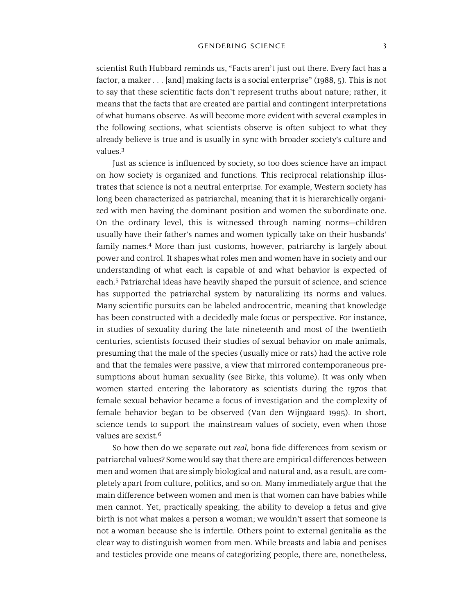scientist Ruth Hubbard reminds us, "Facts aren't just out there. Every fact has a factor, a maker . . . [and] making facts is a social enterprise" ( $1988, 5$ ). This is not to say that these scientific facts don't represent truths about nature; rather, it means that the facts that are created are partial and contingent interpretations of what humans observe. As will become more evident with several examples in the following sections, what scientists observe is often subject to what they already believe is true and is usually in sync with broader society's culture and values.

Just as science is influenced by society, so too does science have an impact on how society is organized and functions. This reciprocal relationship illustrates that science is not a neutral enterprise. For example, Western society has long been characterized as patriarchal, meaning that it is hierarchically organized with men having the dominant position and women the subordinate one. On the ordinary level, this is witnessed through naming norms—children usually have their father's names and women typically take on their husbands' family names.<sup>4</sup> More than just customs, however, patriarchy is largely about power and control. It shapes what roles men and women have in society and our understanding of what each is capable of and what behavior is expected of each.<sup>5</sup> Patriarchal ideas have heavily shaped the pursuit of science, and science has supported the patriarchal system by naturalizing its norms and values. Many scientific pursuits can be labeled androcentric, meaning that knowledge has been constructed with a decidedly male focus or perspective. For instance, in studies of sexuality during the late nineteenth and most of the twentieth centuries, scientists focused their studies of sexual behavior on male animals, presuming that the male of the species (usually mice or rats) had the active role and that the females were passive, a view that mirrored contemporaneous presumptions about human sexuality (see Birke, this volume). It was only when women started entering the laboratory as scientists during the 1970s that female sexual behavior became a focus of investigation and the complexity of female behavior began to be observed (Van den Wijngaard 1995). In short, science tends to support the mainstream values of society, even when those values are sexist.<sup>6</sup>

So how then do we separate out *real,* bona fide differences from sexism or patriarchal values? Some would say that there are empirical differences between men and women that are simply biological and natural and, as a result, are completely apart from culture, politics, and so on. Many immediately argue that the main difference between women and men is that women can have babies while men cannot. Yet, practically speaking, the ability to develop a fetus and give birth is not what makes a person a woman; we wouldn't assert that someone is not a woman because she is infertile. Others point to external genitalia as the clear way to distinguish women from men. While breasts and labia and penises and testicles provide one means of categorizing people, there are, nonetheless,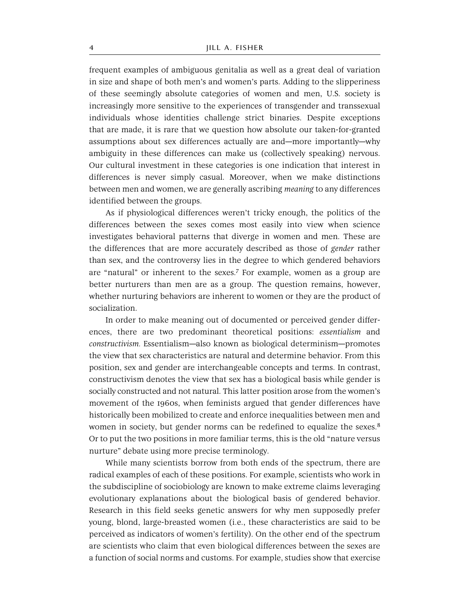frequent examples of ambiguous genitalia as well as a great deal of variation in size and shape of both men's and women's parts. Adding to the slipperiness of these seemingly absolute categories of women and men, U.S. society is increasingly more sensitive to the experiences of transgender and transsexual individuals whose identities challenge strict binaries. Despite exceptions that are made, it is rare that we question how absolute our taken-for-granted assumptions about sex differences actually are and—more importantly—why ambiguity in these differences can make us (collectively speaking) nervous. Our cultural investment in these categories is one indication that interest in differences is never simply casual. Moreover, when we make distinctions between men and women, we are generally ascribing *meaning* to any differences identified between the groups.

As if physiological differences weren't tricky enough, the politics of the differences between the sexes comes most easily into view when science investigates behavioral patterns that diverge in women and men. These are the differences that are more accurately described as those of *gender* rather than sex, and the controversy lies in the degree to which gendered behaviors are "natural" or inherent to the sexes.<sup>7</sup> For example, women as a group are better nurturers than men are as a group. The question remains, however, whether nurturing behaviors are inherent to women or they are the product of socialization.

In order to make meaning out of documented or perceived gender differences, there are two predominant theoretical positions: *essentialism* and *constructivism.* Essentialism—also known as biological determinism—promotes the view that sex characteristics are natural and determine behavior. From this position, sex and gender are interchangeable concepts and terms. In contrast, constructivism denotes the view that sex has a biological basis while gender is socially constructed and not natural. This latter position arose from the women's movement of the 1960s, when feminists argued that gender differences have historically been mobilized to create and enforce inequalities between men and women in society, but gender norms can be redefined to equalize the sexes.<sup>8</sup> Or to put the two positions in more familiar terms, this is the old "nature versus nurture" debate using more precise terminology.

While many scientists borrow from both ends of the spectrum, there are radical examples of each of these positions. For example, scientists who work in the subdiscipline of sociobiology are known to make extreme claims leveraging evolutionary explanations about the biological basis of gendered behavior. Research in this field seeks genetic answers for why men supposedly prefer young, blond, large-breasted women (i.e., these characteristics are said to be perceived as indicators of women's fertility). On the other end of the spectrum are scientists who claim that even biological differences between the sexes are a function of social norms and customs. For example, studies show that exercise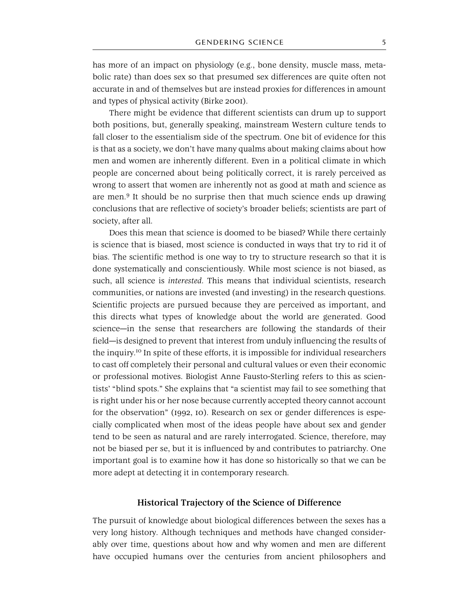has more of an impact on physiology (e.g., bone density, muscle mass, metabolic rate) than does sex so that presumed sex differences are quite often not accurate in and of themselves but are instead proxies for differences in amount and types of physical activity (Birke 2001).

There might be evidence that different scientists can drum up to support both positions, but, generally speaking, mainstream Western culture tends to fall closer to the essentialism side of the spectrum. One bit of evidence for this is that as a society, we don't have many qualms about making claims about how men and women are inherently different. Even in a political climate in which people are concerned about being politically correct, it is rarely perceived as wrong to assert that women are inherently not as good at math and science as are men. $9$  It should be no surprise then that much science ends up drawing conclusions that are reflective of society's broader beliefs; scientists are part of society, after all.

Does this mean that science is doomed to be biased? While there certainly is science that is biased, most science is conducted in ways that try to rid it of bias. The scientific method is one way to try to structure research so that it is done systematically and conscientiously. While most science is not biased, as such, all science is *interested*. This means that individual scientists, research communities, or nations are invested (and investing) in the research questions. Scientific projects are pursued because they are perceived as important, and this directs what types of knowledge about the world are generated. Good science—in the sense that researchers are following the standards of their field—is designed to prevent that interest from unduly influencing the results of the inquiry. In spite of these efforts, it is impossible for individual researchers to cast off completely their personal and cultural values or even their economic or professional motives. Biologist Anne Fausto-Sterling refers to this as scientists' "blind spots." She explains that "a scientist may fail to see something that is right under his or her nose because currently accepted theory cannot account for the observation" (1992, 10). Research on sex or gender differences is especially complicated when most of the ideas people have about sex and gender tend to be seen as natural and are rarely interrogated. Science, therefore, may not be biased per se, but it is influenced by and contributes to patriarchy. One important goal is to examine how it has done so historically so that we can be more adept at detecting it in contemporary research.

#### Historical Trajectory of the Science of Difference

The pursuit of knowledge about biological differences between the sexes has a very long history. Although techniques and methods have changed considerably over time, questions about how and why women and men are different have occupied humans over the centuries from ancient philosophers and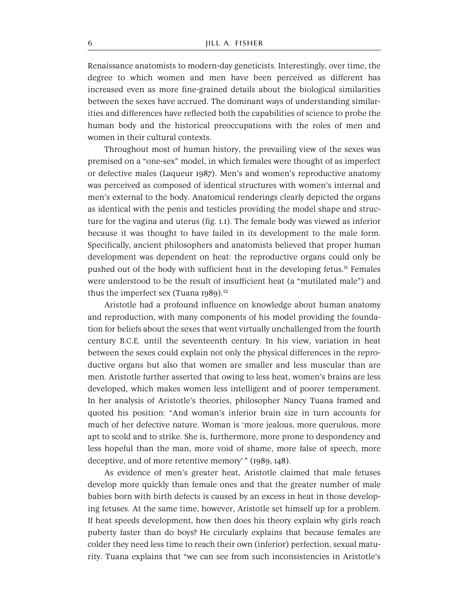Renaissance anatomists to modern-day geneticists. Interestingly, over time, the degree to which women and men have been perceived as different has increased even as more fine-grained details about the biological similarities between the sexes have accrued. The dominant ways of understanding similarities and differences have reflected both the capabilities of science to probe the human body and the historical preoccupations with the roles of men and women in their cultural contexts.

Throughout most of human history, the prevailing view of the sexes was premised on a "one-sex" model, in which females were thought of as imperfect or defective males (Laqueur 1987). Men's and women's reproductive anatomy was perceived as composed of identical structures with women's internal and men's external to the body. Anatomical renderings clearly depicted the organs as identical with the penis and testicles providing the model shape and structure for the vagina and uterus (fig. I.I). The female body was viewed as inferior because it was thought to have failed in its development to the male form. Specifically, ancient philosophers and anatomists believed that proper human development was dependent on heat: the reproductive organs could only be pushed out of the body with sufficient heat in the developing fetus.<sup>II</sup> Females were understood to be the result of insufficient heat (a "mutilated male") and thus the imperfect sex (Tuana  $1989$ ).<sup>12</sup>

Aristotle had a profound influence on knowledge about human anatomy and reproduction, with many components of his model providing the foundation for beliefs about the sexes that went virtually unchallenged from the fourth century B.C.E. until the seventeenth century. In his view, variation in heat between the sexes could explain not only the physical differences in the reproductive organs but also that women are smaller and less muscular than are men. Aristotle further asserted that owing to less heat, women's brains are less developed, which makes women less intelligent and of poorer temperament. In her analysis of Aristotle's theories, philosopher Nancy Tuana framed and quoted his position: "And woman's inferior brain size in turn accounts for much of her defective nature. Woman is 'more jealous, more querulous, more apt to scold and to strike. She is, furthermore, more prone to despondency and less hopeful than the man, more void of shame, more false of speech, more deceptive, and of more retentive memory'" (1989, 148).

As evidence of men's greater heat, Aristotle claimed that male fetuses develop more quickly than female ones and that the greater number of male babies born with birth defects is caused by an excess in heat in those developing fetuses. At the same time, however, Aristotle set himself up for a problem. If heat speeds development, how then does his theory explain why girls reach puberty faster than do boys? He circularly explains that because females are colder they need less time to reach their own (inferior) perfection, sexual maturity. Tuana explains that "we can see from such inconsistencies in Aristotle's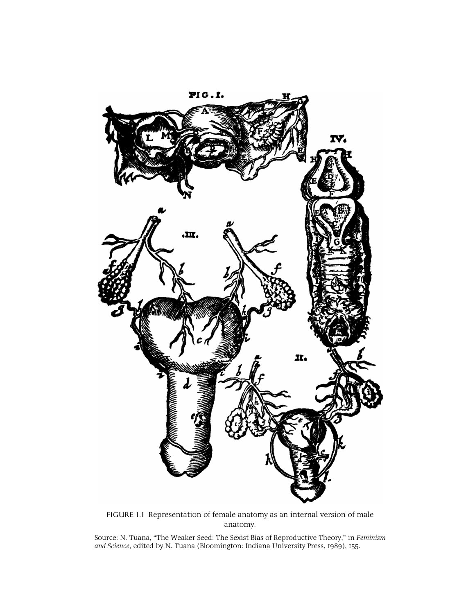

FIGURE 1.1 Representation of female anatomy as an internal version of male anatomy.

Source: N. Tuana, "The Weaker Seed: The Sexist Bias of Reproductive Theory," in *Feminism and Science*, edited by N. Tuana (Bloomington: Indiana University Press, 1989), 155.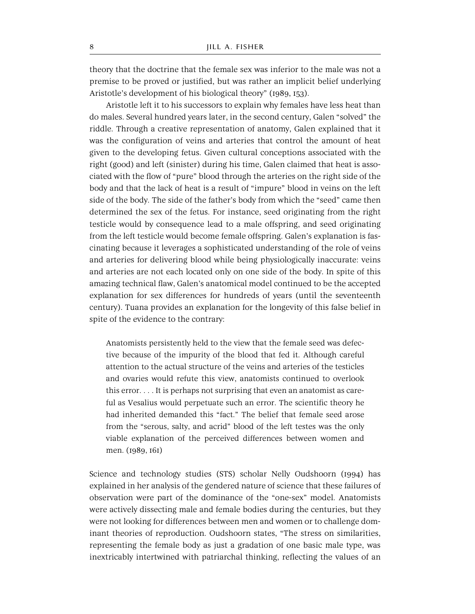theory that the doctrine that the female sex was inferior to the male was not a premise to be proved or justified, but was rather an implicit belief underlying Aristotle's development of his biological theory" (1989, 153).

Aristotle left it to his successors to explain why females have less heat than do males. Several hundred years later, in the second century, Galen "solved" the riddle. Through a creative representation of anatomy, Galen explained that it was the configuration of veins and arteries that control the amount of heat given to the developing fetus. Given cultural conceptions associated with the right (good) and left (sinister) during his time, Galen claimed that heat is associated with the flow of "pure" blood through the arteries on the right side of the body and that the lack of heat is a result of "impure" blood in veins on the left side of the body. The side of the father's body from which the "seed" came then determined the sex of the fetus. For instance, seed originating from the right testicle would by consequence lead to a male offspring, and seed originating from the left testicle would become female offspring. Galen's explanation is fascinating because it leverages a sophisticated understanding of the role of veins and arteries for delivering blood while being physiologically inaccurate: veins and arteries are not each located only on one side of the body. In spite of this amazing technical flaw, Galen's anatomical model continued to be the accepted explanation for sex differences for hundreds of years (until the seventeenth century). Tuana provides an explanation for the longevity of this false belief in spite of the evidence to the contrary:

Anatomists persistently held to the view that the female seed was defective because of the impurity of the blood that fed it. Although careful attention to the actual structure of the veins and arteries of the testicles and ovaries would refute this view, anatomists continued to overlook this error. . . . It is perhaps not surprising that even an anatomist as careful as Vesalius would perpetuate such an error. The scientific theory he had inherited demanded this "fact." The belief that female seed arose from the "serous, salty, and acrid" blood of the left testes was the only viable explanation of the perceived differences between women and men. (1989, 161)

Science and technology studies (STS) scholar Nelly Oudshoorn (1994) has explained in her analysis of the gendered nature of science that these failures of observation were part of the dominance of the "one-sex" model. Anatomists were actively dissecting male and female bodies during the centuries, but they were not looking for differences between men and women or to challenge dominant theories of reproduction. Oudshoorn states, "The stress on similarities, representing the female body as just a gradation of one basic male type, was inextricably intertwined with patriarchal thinking, reflecting the values of an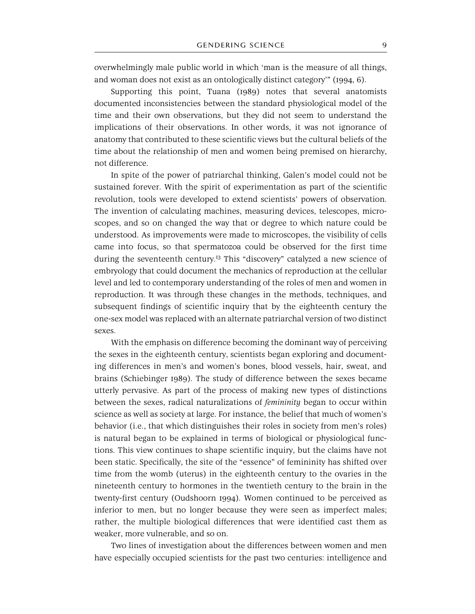overwhelmingly male public world in which 'man is the measure of all things, and woman does not exist as an ontologically distinct category" (1994, 6).

Supporting this point, Tuana  $(1989)$  notes that several anatomists documented inconsistencies between the standard physiological model of the time and their own observations, but they did not seem to understand the implications of their observations. In other words, it was not ignorance of anatomy that contributed to these scientific views but the cultural beliefs of the time about the relationship of men and women being premised on hierarchy, not difference.

In spite of the power of patriarchal thinking, Galen's model could not be sustained forever. With the spirit of experimentation as part of the scientific revolution, tools were developed to extend scientists' powers of observation. The invention of calculating machines, measuring devices, telescopes, microscopes, and so on changed the way that or degree to which nature could be understood. As improvements were made to microscopes, the visibility of cells came into focus, so that spermatozoa could be observed for the first time during the seventeenth century.<sup>13</sup> This "discovery" catalyzed a new science of embryology that could document the mechanics of reproduction at the cellular level and led to contemporary understanding of the roles of men and women in reproduction. It was through these changes in the methods, techniques, and subsequent findings of scientific inquiry that by the eighteenth century the one-sex model was replaced with an alternate patriarchal version of two distinct sexes.

With the emphasis on difference becoming the dominant way of perceiving the sexes in the eighteenth century, scientists began exploring and documenting differences in men's and women's bones, blood vessels, hair, sweat, and brains (Schiebinger 1989). The study of difference between the sexes became utterly pervasive. As part of the process of making new types of distinctions between the sexes, radical naturalizations of *femininity* began to occur within science as well as society at large. For instance, the belief that much of women's behavior (i.e., that which distinguishes their roles in society from men's roles) is natural began to be explained in terms of biological or physiological functions. This view continues to shape scientific inquiry, but the claims have not been static. Specifically, the site of the "essence" of femininity has shifted over time from the womb (uterus) in the eighteenth century to the ovaries in the nineteenth century to hormones in the twentieth century to the brain in the twenty-first century (Oudshoorn 1994). Women continued to be perceived as inferior to men, but no longer because they were seen as imperfect males; rather, the multiple biological differences that were identified cast them as weaker, more vulnerable, and so on.

Two lines of investigation about the differences between women and men have especially occupied scientists for the past two centuries: intelligence and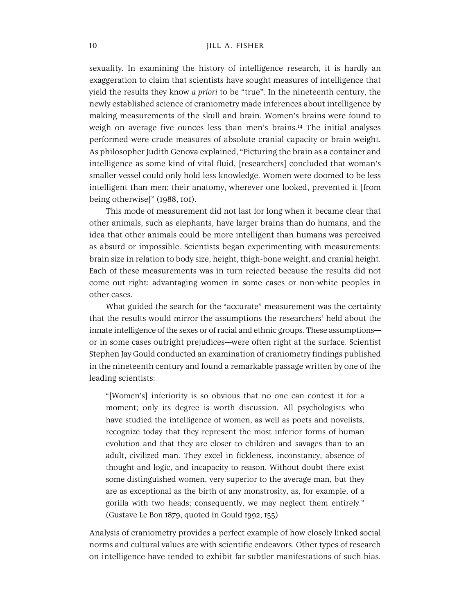sexuality. In examining the history of intelligence research, it is hardly an exaggeration to claim that scientists have sought measures of intelligence that yield the results they know *a priori* to be "true". In the nineteenth century, the newly established science of craniometry made inferences about intelligence by making measurements of the skull and brain. Women's brains were found to weigh on average five ounces less than men's brains.<sup>14</sup> The initial analyses performed were crude measures of absolute cranial capacity or brain weight. As philosopher Judith Genova explained, "Picturing the brain as a container and intelligence as some kind of vital fluid, [researchers] concluded that woman's smaller vessel could only hold less knowledge. Women were doomed to be less intelligent than men; their anatomy, wherever one looked, prevented it [from being otherwise]"  $(1988, 101)$ .

This mode of measurement did not last for long when it became clear that other animals, such as elephants, have larger brains than do humans, and the idea that other animals could be more intelligent than humans was perceived as absurd or impossible. Scientists began experimenting with measurements: brain size in relation to body size, height, thigh-bone weight, and cranial height. Each of these measurements was in turn rejected because the results did not come out right: advantaging women in some cases or non-white peoples in other cases.

What guided the search for the "accurate" measurement was the certainty that the results would mirror the assumptions the researchers' held about the innate intelligence of the sexes or of racial and ethnic groups. These assumptions or in some cases outright prejudices—were often right at the surface. Scientist Stephen Jay Gould conducted an examination of craniometry findings published in the nineteenth century and found a remarkable passage written by one of the leading scientists:

"[Women's] inferiority is so obvious that no one can contest it for a moment; only its degree is worth discussion. All psychologists who have studied the intelligence of women, as well as poets and novelists, recognize today that they represent the most inferior forms of human evolution and that they are closer to children and savages than to an adult, civilized man. They excel in fickleness, inconstancy, absence of thought and logic, and incapacity to reason. Without doubt there exist some distinguished women, very superior to the average man, but they are as exceptional as the birth of any monstrosity, as, for example, of a gorilla with two heads; consequently, we may neglect them entirely." (Gustave Le Bon 1879, quoted in Gould 1992, 155)

Analysis of craniometry provides a perfect example of how closely linked social norms and cultural values are with scientific endeavors. Other types of research on intelligence have tended to exhibit far subtler manifestations of such bias.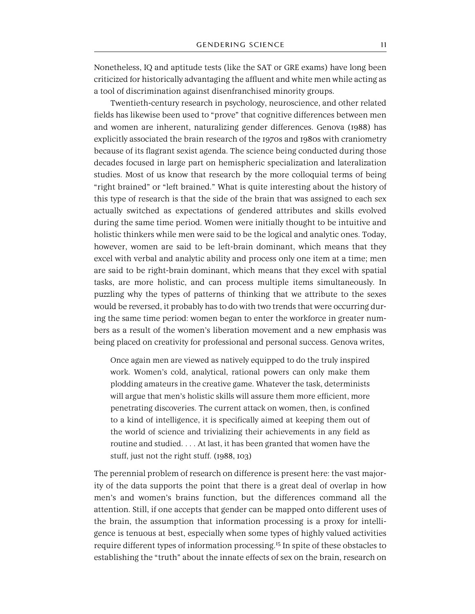Nonetheless, IQ and aptitude tests (like the SAT or GRE exams) have long been criticized for historically advantaging the affluent and white men while acting as a tool of discrimination against disenfranchised minority groups.

Twentieth-century research in psychology, neuroscience, and other related fields has likewise been used to "prove" that cognitive differences between men and women are inherent, naturalizing gender differences. Genova (1988) has explicitly associated the brain research of the 1970s and 1980s with craniometry because of its flagrant sexist agenda. The science being conducted during those decades focused in large part on hemispheric specialization and lateralization studies. Most of us know that research by the more colloquial terms of being "right brained" or "left brained." What is quite interesting about the history of this type of research is that the side of the brain that was assigned to each sex actually switched as expectations of gendered attributes and skills evolved during the same time period. Women were initially thought to be intuitive and holistic thinkers while men were said to be the logical and analytic ones. Today, however, women are said to be left-brain dominant, which means that they excel with verbal and analytic ability and process only one item at a time; men are said to be right-brain dominant, which means that they excel with spatial tasks, are more holistic, and can process multiple items simultaneously. In puzzling why the types of patterns of thinking that we attribute to the sexes would be reversed, it probably has to do with two trends that were occurring during the same time period: women began to enter the workforce in greater numbers as a result of the women's liberation movement and a new emphasis was being placed on creativity for professional and personal success. Genova writes,

Once again men are viewed as natively equipped to do the truly inspired work. Women's cold, analytical, rational powers can only make them plodding amateurs in the creative game. Whatever the task, determinists will argue that men's holistic skills will assure them more efficient, more penetrating discoveries. The current attack on women, then, is confined to a kind of intelligence, it is specifically aimed at keeping them out of the world of science and trivializing their achievements in any field as routine and studied. . . . At last, it has been granted that women have the stuff, just not the right stuff. (1988, 103)

The perennial problem of research on difference is present here: the vast majority of the data supports the point that there is a great deal of overlap in how men's and women's brains function, but the differences command all the attention. Still, if one accepts that gender can be mapped onto different uses of the brain, the assumption that information processing is a proxy for intelligence is tenuous at best, especially when some types of highly valued activities require different types of information processing. In spite of these obstacles to establishing the "truth" about the innate effects of sex on the brain, research on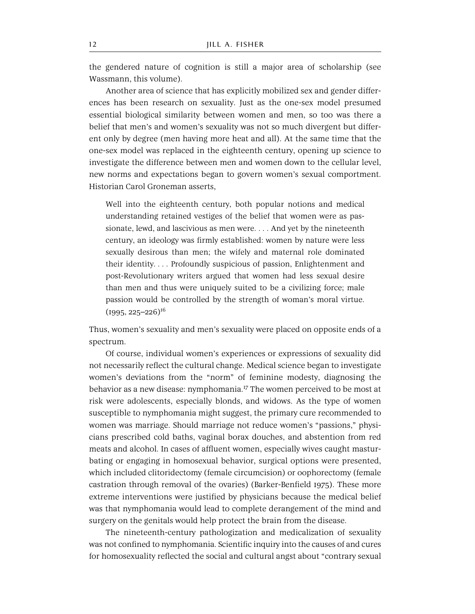the gendered nature of cognition is still a major area of scholarship (see Wassmann, this volume).

Another area of science that has explicitly mobilized sex and gender differences has been research on sexuality. Just as the one-sex model presumed essential biological similarity between women and men, so too was there a belief that men's and women's sexuality was not so much divergent but different only by degree (men having more heat and all). At the same time that the one-sex model was replaced in the eighteenth century, opening up science to investigate the difference between men and women down to the cellular level, new norms and expectations began to govern women's sexual comportment. Historian Carol Groneman asserts,

Well into the eighteenth century, both popular notions and medical understanding retained vestiges of the belief that women were as passionate, lewd, and lascivious as men were. . . . And yet by the nineteenth century, an ideology was firmly established: women by nature were less sexually desirous than men; the wifely and maternal role dominated their identity. . . . Profoundly suspicious of passion, Enlightenment and post-Revolutionary writers argued that women had less sexual desire than men and thus were uniquely suited to be a civilizing force; male passion would be controlled by the strength of woman's moral virtue.  $(1995, 225 - 226)^{16}$ 

Thus, women's sexuality and men's sexuality were placed on opposite ends of a spectrum.

Of course, individual women's experiences or expressions of sexuality did not necessarily reflect the cultural change. Medical science began to investigate women's deviations from the "norm" of feminine modesty, diagnosing the behavior as a new disease: nymphomania.<sup>17</sup> The women perceived to be most at risk were adolescents, especially blonds, and widows. As the type of women susceptible to nymphomania might suggest, the primary cure recommended to women was marriage. Should marriage not reduce women's "passions," physicians prescribed cold baths, vaginal borax douches, and abstention from red meats and alcohol. In cases of affluent women, especially wives caught masturbating or engaging in homosexual behavior, surgical options were presented, which included clitoridectomy (female circumcision) or oophorectomy (female castration through removal of the ovaries) (Barker-Benfield 1975). These more extreme interventions were justified by physicians because the medical belief was that nymphomania would lead to complete derangement of the mind and surgery on the genitals would help protect the brain from the disease.

The nineteenth-century pathologization and medicalization of sexuality was not confined to nymphomania. Scientific inquiry into the causes of and cures for homosexuality reflected the social and cultural angst about "contrary sexual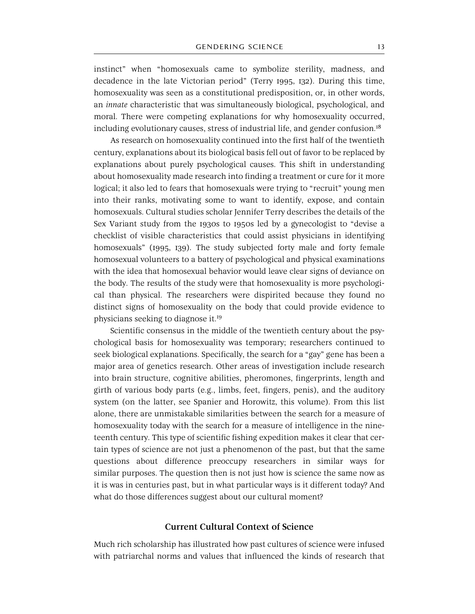instinct" when "homosexuals came to symbolize sterility, madness, and decadence in the late Victorian period" (Terry 1995, 132). During this time, homosexuality was seen as a constitutional predisposition, or, in other words, an *innate* characteristic that was simultaneously biological, psychological, and moral. There were competing explanations for why homosexuality occurred, including evolutionary causes, stress of industrial life, and gender confusion.<sup>18</sup>

As research on homosexuality continued into the first half of the twentieth century, explanations about its biological basis fell out of favor to be replaced by explanations about purely psychological causes. This shift in understanding about homosexuality made research into finding a treatment or cure for it more logical; it also led to fears that homosexuals were trying to "recruit" young men into their ranks, motivating some to want to identify, expose, and contain homosexuals. Cultural studies scholar Jennifer Terry describes the details of the Sex Variant study from the 1930s to 1950s led by a gynecologist to "devise a checklist of visible characteristics that could assist physicians in identifying homosexuals" (1995, 139). The study subjected forty male and forty female homosexual volunteers to a battery of psychological and physical examinations with the idea that homosexual behavior would leave clear signs of deviance on the body. The results of the study were that homosexuality is more psychological than physical. The researchers were dispirited because they found no distinct signs of homosexuality on the body that could provide evidence to physicians seeking to diagnose it.

Scientific consensus in the middle of the twentieth century about the psychological basis for homosexuality was temporary; researchers continued to seek biological explanations. Specifically, the search for a "gay" gene has been a major area of genetics research. Other areas of investigation include research into brain structure, cognitive abilities, pheromones, fingerprints, length and girth of various body parts (e.g., limbs, feet, fingers, penis), and the auditory system (on the latter, see Spanier and Horowitz, this volume). From this list alone, there are unmistakable similarities between the search for a measure of homosexuality today with the search for a measure of intelligence in the nineteenth century. This type of scientific fishing expedition makes it clear that certain types of science are not just a phenomenon of the past, but that the same questions about difference preoccupy researchers in similar ways for similar purposes. The question then is not just how is science the same now as it is was in centuries past, but in what particular ways is it different today? And what do those differences suggest about our cultural moment?

#### Current Cultural Context of Science

Much rich scholarship has illustrated how past cultures of science were infused with patriarchal norms and values that influenced the kinds of research that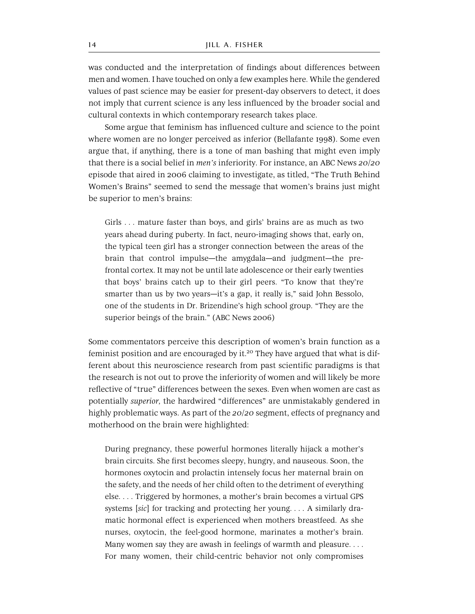was conducted and the interpretation of findings about differences between men and women. I have touched on only a few examples here. While the gendered values of past science may be easier for present-day observers to detect, it does not imply that current science is any less influenced by the broader social and cultural contexts in which contemporary research takes place.

Some argue that feminism has influenced culture and science to the point where women are no longer perceived as inferior (Bellafante 1998). Some even argue that, if anything, there is a tone of man bashing that might even imply that there is a social belief in *men's* inferiority. For instance, an ABC News 20/20 episode that aired in 2006 claiming to investigate, as titled, "The Truth Behind Women's Brains" seemed to send the message that women's brains just might be superior to men's brains:

Girls . . . mature faster than boys, and girls' brains are as much as two years ahead during puberty. In fact, neuro-imaging shows that, early on, the typical teen girl has a stronger connection between the areas of the brain that control impulse—the amygdala—and judgment—the prefrontal cortex. It may not be until late adolescence or their early twenties that boys' brains catch up to their girl peers. "To know that they're smarter than us by two years—it's a gap, it really is," said John Bessolo, one of the students in Dr. Brizendine's high school group. "They are the superior beings of the brain." (ABC News 2006)

Some commentators perceive this description of women's brain function as a feminist position and are encouraged by it.<sup>20</sup> They have argued that what is different about this neuroscience research from past scientific paradigms is that the research is not out to prove the inferiority of women and will likely be more reflective of "true" differences between the sexes. Even when women are cast as potentially *superior,* the hardwired "differences" are unmistakably gendered in highly problematic ways. As part of the 20/20 segment, effects of pregnancy and motherhood on the brain were highlighted:

During pregnancy, these powerful hormones literally hijack a mother's brain circuits. She first becomes sleepy, hungry, and nauseous. Soon, the hormones oxytocin and prolactin intensely focus her maternal brain on the safety, and the needs of her child often to the detriment of everything else. . . . Triggered by hormones, a mother's brain becomes a virtual GPS systems [*sic*] for tracking and protecting her young. . . . A similarly dramatic hormonal effect is experienced when mothers breastfeed. As she nurses, oxytocin, the feel-good hormone, marinates a mother's brain. Many women say they are awash in feelings of warmth and pleasure. . . . For many women, their child-centric behavior not only compromises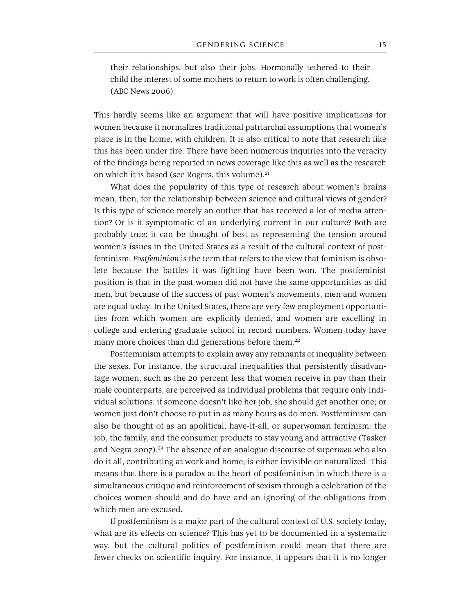their relationships, but also their jobs. Hormonally tethered to their child the interest of some mothers to return to work is often challenging.  $(ABC$  News 2006)

This hardly seems like an argument that will have positive implications for women because it normalizes traditional patriarchal assumptions that women's place is in the home, with children. It is also critical to note that research like this has been under fire. There have been numerous inquiries into the veracity of the findings being reported in news coverage like this as well as the research on which it is based (see Rogers, this volume).

What does the popularity of this type of research about women's brains mean, then, for the relationship between science and cultural views of gender? Is this type of science merely an outlier that has received a lot of media attention? Or is it symptomatic of an underlying current in our culture? Both are probably true; it can be thought of best as representing the tension around women's issues in the United States as a result of the cultural context of postfeminism. *Postfeminism* is the term that refers to the view that feminism is obsolete because the battles it was fighting have been won. The postfeminist position is that in the past women did not have the same opportunities as did men, but because of the success of past women's movements, men and women are equal today. In the United States, there are very few employment opportunities from which women are explicitly denied, and women are excelling in college and entering graduate school in record numbers. Women today have many more choices than did generations before them.<sup>22</sup>

Postfeminism attempts to explain away any remnants of inequality between the sexes. For instance, the structural inequalities that persistently disadvantage women, such as the 20 percent less that women receive in pay than their male counterparts, are perceived as individual problems that require only individual solutions: if someone doesn't like her job, she should get another one; or women just don't choose to put in as many hours as do men. Postfeminism can also be thought of as an apolitical, have-it-all, or superwoman feminism: the job, the family, and the consumer products to stay young and attractive (Tasker and Negra 2007).<sup>23</sup> The absence of an analogue discourse of supermen who also do it all, contributing at work and home, is either invisible or naturalized. This means that there is a paradox at the heart of postfeminism in which there is a simultaneous critique and reinforcement of sexism through a celebration of the choices women should and do have and an ignoring of the obligations from which men are excused.

If postfeminism is a major part of the cultural context of U.S. society today, what are its effects on science? This has yet to be documented in a systematic way, but the cultural politics of postfeminism could mean that there are fewer checks on scientific inquiry. For instance, it appears that it is no longer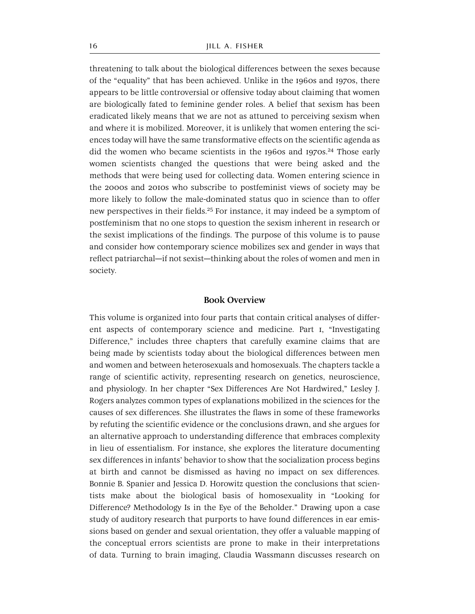threatening to talk about the biological differences between the sexes because of the "equality" that has been achieved. Unlike in the 1960s and 1970s, there appears to be little controversial or offensive today about claiming that women are biologically fated to feminine gender roles. A belief that sexism has been eradicated likely means that we are not as attuned to perceiving sexism when and where it is mobilized. Moreover, it is unlikely that women entering the sciences today will have the same transformative effects on the scientific agenda as did the women who became scientists in the 1960s and 1970s.<sup>24</sup> Those early women scientists changed the questions that were being asked and the methods that were being used for collecting data. Women entering science in the 2000s and 2010s who subscribe to postfeminist views of society may be more likely to follow the male-dominated status quo in science than to offer new perspectives in their fields.<sup>25</sup> For instance, it may indeed be a symptom of postfeminism that no one stops to question the sexism inherent in research or the sexist implications of the findings. The purpose of this volume is to pause and consider how contemporary science mobilizes sex and gender in ways that reflect patriarchal—if not sexist—thinking about the roles of women and men in society.

#### Book Overview

This volume is organized into four parts that contain critical analyses of different aspects of contemporary science and medicine. Part , "Investigating Difference," includes three chapters that carefully examine claims that are being made by scientists today about the biological differences between men and women and between heterosexuals and homosexuals. The chapters tackle a range of scientific activity, representing research on genetics, neuroscience, and physiology. In her chapter "Sex Differences Are Not Hardwired," Lesley J. Rogers analyzes common types of explanations mobilized in the sciences for the causes of sex differences. She illustrates the flaws in some of these frameworks by refuting the scientific evidence or the conclusions drawn, and she argues for an alternative approach to understanding difference that embraces complexity in lieu of essentialism. For instance, she explores the literature documenting sex differences in infants' behavior to show that the socialization process begins at birth and cannot be dismissed as having no impact on sex differences. Bonnie B. Spanier and Jessica D. Horowitz question the conclusions that scientists make about the biological basis of homosexuality in "Looking for Difference? Methodology Is in the Eye of the Beholder." Drawing upon a case study of auditory research that purports to have found differences in ear emissions based on gender and sexual orientation, they offer a valuable mapping of the conceptual errors scientists are prone to make in their interpretations of data. Turning to brain imaging, Claudia Wassmann discusses research on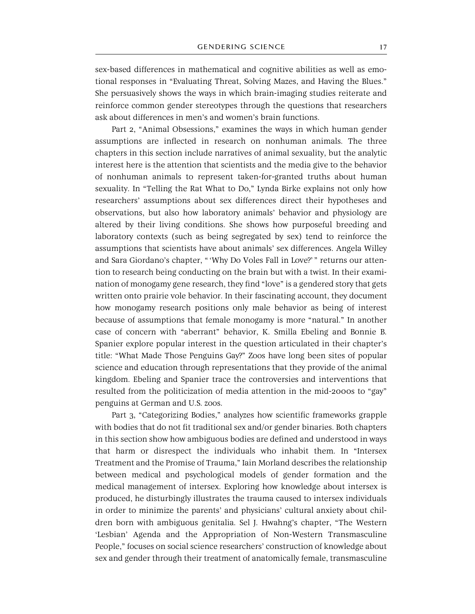sex-based differences in mathematical and cognitive abilities as well as emotional responses in "Evaluating Threat, Solving Mazes, and Having the Blues." She persuasively shows the ways in which brain-imaging studies reiterate and reinforce common gender stereotypes through the questions that researchers ask about differences in men's and women's brain functions.

Part 2. "Animal Obsessions," examines the ways in which human gender assumptions are inflected in research on nonhuman animals. The three chapters in this section include narratives of animal sexuality, but the analytic interest here is the attention that scientists and the media give to the behavior of nonhuman animals to represent taken-for-granted truths about human sexuality. In "Telling the Rat What to Do," Lynda Birke explains not only how researchers' assumptions about sex differences direct their hypotheses and observations, but also how laboratory animals' behavior and physiology are altered by their living conditions. She shows how purposeful breeding and laboratory contexts (such as being segregated by sex) tend to reinforce the assumptions that scientists have about animals' sex differences. Angela Willey and Sara Giordano's chapter, " 'Why Do Voles Fall in Love?' " returns our attention to research being conducting on the brain but with a twist. In their examination of monogamy gene research, they find "love" is a gendered story that gets written onto prairie vole behavior. In their fascinating account, they document how monogamy research positions only male behavior as being of interest because of assumptions that female monogamy is more "natural." In another case of concern with "aberrant" behavior, K. Smilla Ebeling and Bonnie B. Spanier explore popular interest in the question articulated in their chapter's title: "What Made Those Penguins Gay?" Zoos have long been sites of popular science and education through representations that they provide of the animal kingdom. Ebeling and Spanier trace the controversies and interventions that resulted from the politicization of media attention in the mid-2000s to "gay" penguins at German and U.S. zoos.

Part 3, "Categorizing Bodies," analyzes how scientific frameworks grapple with bodies that do not fit traditional sex and/or gender binaries. Both chapters in this section show how ambiguous bodies are defined and understood in ways that harm or disrespect the individuals who inhabit them. In "Intersex Treatment and the Promise of Trauma," Iain Morland describes the relationship between medical and psychological models of gender formation and the medical management of intersex. Exploring how knowledge about intersex is produced, he disturbingly illustrates the trauma caused to intersex individuals in order to minimize the parents' and physicians' cultural anxiety about children born with ambiguous genitalia. Sel J. Hwahng's chapter, "The Western 'Lesbian' Agenda and the Appropriation of Non-Western Transmasculine People," focuses on social science researchers' construction of knowledge about sex and gender through their treatment of anatomically female, transmasculine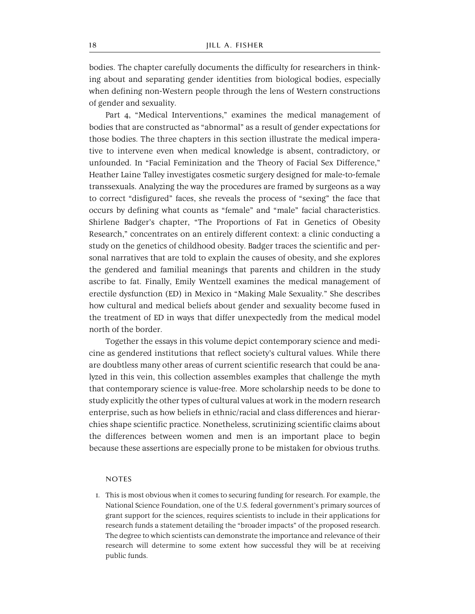bodies. The chapter carefully documents the difficulty for researchers in thinking about and separating gender identities from biological bodies, especially when defining non-Western people through the lens of Western constructions of gender and sexuality.

Part 4, "Medical Interventions," examines the medical management of bodies that are constructed as "abnormal" as a result of gender expectations for those bodies. The three chapters in this section illustrate the medical imperative to intervene even when medical knowledge is absent, contradictory, or unfounded. In "Facial Feminization and the Theory of Facial Sex Difference," Heather Laine Talley investigates cosmetic surgery designed for male-to-female transsexuals. Analyzing the way the procedures are framed by surgeons as a way to correct "disfigured" faces, she reveals the process of "sexing" the face that occurs by defining what counts as "female" and "male" facial characteristics. Shirlene Badger's chapter, "The Proportions of Fat in Genetics of Obesity Research," concentrates on an entirely different context: a clinic conducting a study on the genetics of childhood obesity. Badger traces the scientific and personal narratives that are told to explain the causes of obesity, and she explores the gendered and familial meanings that parents and children in the study ascribe to fat. Finally, Emily Wentzell examines the medical management of erectile dysfunction (ED) in Mexico in "Making Male Sexuality." She describes how cultural and medical beliefs about gender and sexuality become fused in the treatment of ED in ways that differ unexpectedly from the medical model north of the border.

Together the essays in this volume depict contemporary science and medicine as gendered institutions that reflect society's cultural values. While there are doubtless many other areas of current scientific research that could be analyzed in this vein, this collection assembles examples that challenge the myth that contemporary science is value-free. More scholarship needs to be done to study explicitly the other types of cultural values at work in the modern research enterprise, such as how beliefs in ethnic/racial and class differences and hierarchies shape scientific practice. Nonetheless, scrutinizing scientific claims about the differences between women and men is an important place to begin because these assertions are especially prone to be mistaken for obvious truths.

#### **NOTES**

. This is most obvious when it comes to securing funding for research. For example, the National Science Foundation, one of the U.S. federal government's primary sources of grant support for the sciences, requires scientists to include in their applications for research funds a statement detailing the "broader impacts" of the proposed research. The degree to which scientists can demonstrate the importance and relevance of their research will determine to some extent how successful they will be at receiving public funds.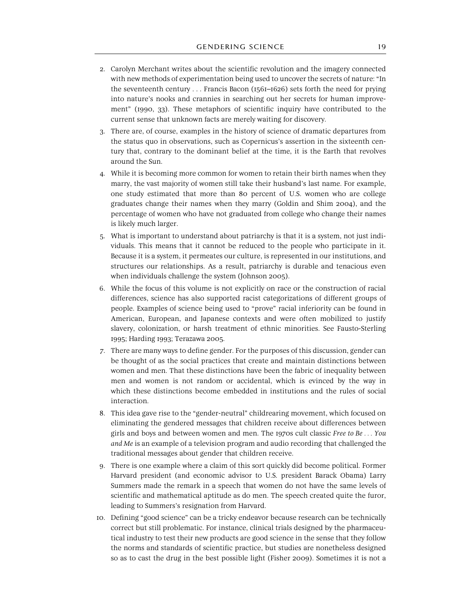- . Carolyn Merchant writes about the scientific revolution and the imagery connected with new methods of experimentation being used to uncover the secrets of nature: "In the seventeenth century  $\dots$  Francis Bacon (1561–1626) sets forth the need for prying into nature's nooks and crannies in searching out her secrets for human improvement" (1990, 33). These metaphors of scientific inquiry have contributed to the current sense that unknown facts are merely waiting for discovery.
- . There are, of course, examples in the history of science of dramatic departures from the status quo in observations, such as Copernicus's assertion in the sixteenth century that, contrary to the dominant belief at the time, it is the Earth that revolves around the Sun.
- . While it is becoming more common for women to retain their birth names when they marry, the vast majority of women still take their husband's last name. For example, one study estimated that more than 80 percent of U.S. women who are college graduates change their names when they marry (Goldin and Shim 2004), and the percentage of women who have not graduated from college who change their names is likely much larger.
- . What is important to understand about patriarchy is that it is a system, not just individuals. This means that it cannot be reduced to the people who participate in it. Because it is a system, it permeates our culture, is represented in our institutions, and structures our relationships. As a result, patriarchy is durable and tenacious even when individuals challenge the system (Johnson 2005).
- . While the focus of this volume is not explicitly on race or the construction of racial differences, science has also supported racist categorizations of different groups of people. Examples of science being used to "prove" racial inferiority can be found in American, European, and Japanese contexts and were often mobilized to justify slavery, colonization, or harsh treatment of ethnic minorities. See Fausto-Sterling 1995; Harding 1993; Terazawa 2005.
- . There are many ways to define gender. For the purposes of this discussion, gender can be thought of as the social practices that create and maintain distinctions between women and men. That these distinctions have been the fabric of inequality between men and women is not random or accidental, which is evinced by the way in which these distinctions become embedded in institutions and the rules of social interaction.
- . This idea gave rise to the "gender-neutral" childrearing movement, which focused on eliminating the gendered messages that children receive about differences between girls and boys and between women and men. The 1970s cult classic *Free to Be ...* You *and Me* is an example of a television program and audio recording that challenged the traditional messages about gender that children receive.
- . There is one example where a claim of this sort quickly did become political. Former Harvard president (and economic advisor to U.S. president Barack Obama) Larry Summers made the remark in a speech that women do not have the same levels of scientific and mathematical aptitude as do men. The speech created quite the furor, leading to Summers's resignation from Harvard.
- . Defining "good science" can be a tricky endeavor because research can be technically correct but still problematic. For instance, clinical trials designed by the pharmaceutical industry to test their new products are good science in the sense that they follow the norms and standards of scientific practice, but studies are nonetheless designed so as to cast the drug in the best possible light (Fisher 2009). Sometimes it is not a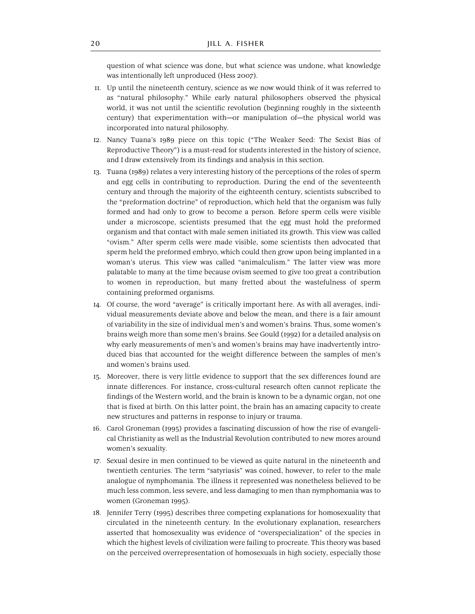question of what science was done, but what science was undone, what knowledge was intentionally left unproduced (Hess 2007).

- . Up until the nineteenth century, science as we now would think of it was referred to as "natural philosophy." While early natural philosophers observed the physical world, it was not until the scientific revolution (beginning roughly in the sixteenth century) that experimentation with—or manipulation of—the physical world was incorporated into natural philosophy.
- 12. Nancy Tuana's 1989 piece on this topic ("The Weaker Seed: The Sexist Bias of Reproductive Theory") is a must-read for students interested in the history of science, and I draw extensively from its findings and analysis in this section.
- 13. Tuana (1989) relates a very interesting history of the perceptions of the roles of sperm and egg cells in contributing to reproduction. During the end of the seventeenth century and through the majority of the eighteenth century, scientists subscribed to the "preformation doctrine" of reproduction, which held that the organism was fully formed and had only to grow to become a person. Before sperm cells were visible under a microscope, scientists presumed that the egg must hold the preformed organism and that contact with male semen initiated its growth. This view was called "ovism." After sperm cells were made visible, some scientists then advocated that sperm held the preformed embryo, which could then grow upon being implanted in a woman's uterus. This view was called "animalculism." The latter view was more palatable to many at the time because ovism seemed to give too great a contribution to women in reproduction, but many fretted about the wastefulness of sperm containing preformed organisms.
- . Of course, the word "average" is critically important here. As with all averages, individual measurements deviate above and below the mean, and there is a fair amount of variability in the size of individual men's and women's brains. Thus, some women's brains weigh more than some men's brains. See Gould (1992) for a detailed analysis on why early measurements of men's and women's brains may have inadvertently introduced bias that accounted for the weight difference between the samples of men's and women's brains used.
- . Moreover, there is very little evidence to support that the sex differences found are innate differences. For instance, cross-cultural research often cannot replicate the findings of the Western world, and the brain is known to be a dynamic organ, not one that is fixed at birth. On this latter point, the brain has an amazing capacity to create new structures and patterns in response to injury or trauma.
- 16. Carol Groneman (1995) provides a fascinating discussion of how the rise of evangelical Christianity as well as the Industrial Revolution contributed to new mores around women's sexuality.
- . Sexual desire in men continued to be viewed as quite natural in the nineteenth and twentieth centuries. The term "satyriasis" was coined, however, to refer to the male analogue of nymphomania. The illness it represented was nonetheless believed to be much less common, less severe, and less damaging to men than nymphomania was to women (Groneman 1995).
- 18. Jennifer Terry (1995) describes three competing explanations for homosexuality that circulated in the nineteenth century. In the evolutionary explanation, researchers asserted that homosexuality was evidence of "overspecialization" of the species in which the highest levels of civilization were failing to procreate. This theory was based on the perceived overrepresentation of homosexuals in high society, especially those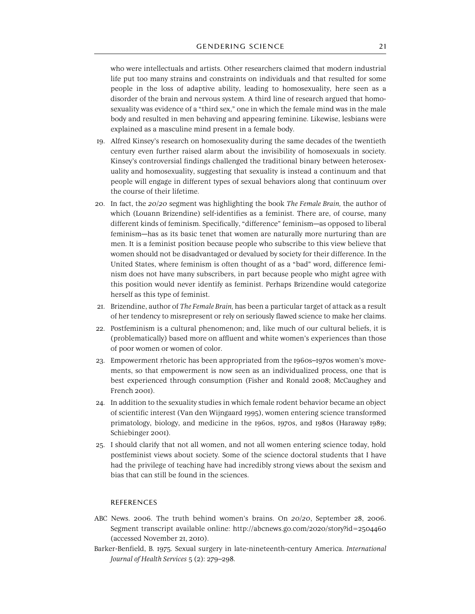who were intellectuals and artists. Other researchers claimed that modern industrial life put too many strains and constraints on individuals and that resulted for some people in the loss of adaptive ability, leading to homosexuality, here seen as a disorder of the brain and nervous system. A third line of research argued that homosexuality was evidence of a "third sex," one in which the female mind was in the male body and resulted in men behaving and appearing feminine. Likewise, lesbians were explained as a masculine mind present in a female body.

- . Alfred Kinsey's research on homosexuality during the same decades of the twentieth century even further raised alarm about the invisibility of homosexuals in society. Kinsey's controversial findings challenged the traditional binary between heterosexuality and homosexuality, suggesting that sexuality is instead a continuum and that people will engage in different types of sexual behaviors along that continuum over the course of their lifetime.
- 20. In fact, the 20/20 segment was highlighting the book The Female Brain, the author of which (Louann Brizendine) self-identifies as a feminist. There are, of course, many different kinds of feminism. Specifically, "difference" feminism—as opposed to liberal feminism—has as its basic tenet that women are naturally more nurturing than are men. It is a feminist position because people who subscribe to this view believe that women should not be disadvantaged or devalued by society for their difference. In the United States, where feminism is often thought of as a "bad" word, difference feminism does not have many subscribers, in part because people who might agree with this position would never identify as feminist. Perhaps Brizendine would categorize herself as this type of feminist.
- . Brizendine, author of *The Female Brain,* has been a particular target of attack as a result of her tendency to misrepresent or rely on seriously flawed science to make her claims.
- . Postfeminism is a cultural phenomenon; and, like much of our cultural beliefs, it is (problematically) based more on affluent and white women's experiences than those of poor women or women of color.
- 23. Empowerment rhetoric has been appropriated from the  $1960s-1970s$  women's movements, so that empowerment is now seen as an individualized process, one that is best experienced through consumption (Fisher and Ronald 2008; McCaughey and French 2001).
- . In addition to the sexuality studies in which female rodent behavior became an object of scientific interest (Van den Wijngaard 1995), women entering science transformed primatology, biology, and medicine in the 1960s, 1970s, and 1980s (Haraway 1989; Schiebinger 2001).
- . I should clarify that not all women, and not all women entering science today, hold postfeminist views about society. Some of the science doctoral students that I have had the privilege of teaching have had incredibly strong views about the sexism and bias that can still be found in the sciences.

#### **REFERENCES**

- ABC News. 2006. The truth behind women's brains. On  $20/20$ , September 28, 2006. Segment transcript available online: http://abcnews.go.com/2020/story?id=2504460 (accessed November 21, 2010).
- Barker-Benfield, B. 1975. Sexual surgery in late-nineteenth-century America. *International Journal of Health Services* 5 (2): 279-298.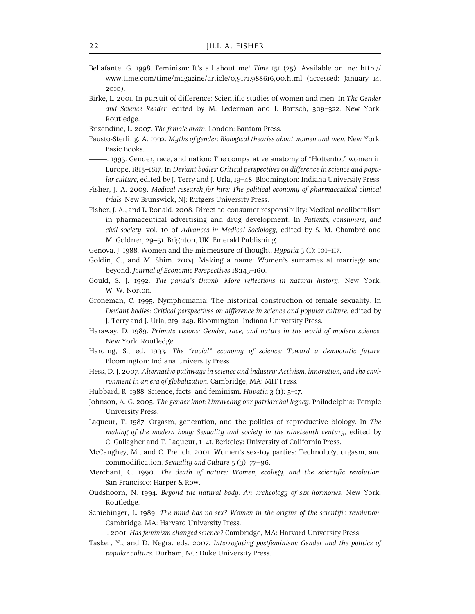- Bellafante, G. 1998. Feminism: It's all about me! *Time* 151 (25). Available online: http:// www.time.com/time/magazine/article/0,9171,988616,00.html (accessed: January 14, 2010).
- Birke, L. 2001. In pursuit of difference: Scientific studies of women and men. In *The Gender* and Science Reader, edited by M. Lederman and I. Bartsch, 309-322. New York: Routledge.
- Brizendine, L. 2007. The female brain. London: Bantam Press.
- Fausto-Sterling, A. . *Myths of gender: Biological theories about women and men.* New York: Basic Books.
	- ———. . Gender, race, and nation: The comparative anatomy of "Hottentot" women in Europe, 1815-1817. In *Deviant bodies: Critical perspectives on difference in science and popular culture, edited by J. Terry and J. Urla, 19-48. Bloomington: Indiana University Press.*
- Fisher, J. A. 2009. *Medical research for hire: The political economy of pharmaceutical clinical trials.* New Brunswick, NJ: Rutgers University Press.
- Fisher, J. A., and L. Ronald. 2008. Direct-to-consumer responsibility: Medical neoliberalism in pharmaceutical advertising and drug development. In *Patients, consumers, and civil society,* vol. of *Advances in Medical Sociology,* edited by S. M. Chambré and M. Goldner, 29-51. Brighton, UK: Emerald Publishing.
- Genova, J. 1988. Women and the mismeasure of thought. *Hypatia* 3 (1): 101–117.
- Goldin, C., and M. Shim. 2004. Making a name: Women's surnames at marriage and beyond. *Journal of Economic Perspectives* 18:143-160.
- Gould, S. J. . *The panda's thumb: More reflections in natural history*. New York: W. W. Norton.
- Groneman, C. 1995. Nymphomania: The historical construction of female sexuality. In *Deviant bodies: Critical perspectives on difference in science and popular culture,* edited by J. Terry and J. Urla, 219–249. Bloomington: Indiana University Press.
- Haraway, D. 1989. Primate visions: Gender, race, and nature in the world of modern science. New York: Routledge.
- Harding, S., ed. 1993. The "racial" economy of science: Toward a democratic future. Bloomington: Indiana University Press.
- Hess, D. J. 2007. Alternative pathways in science and industry: Activism, innovation, and the envi*ronment in an era of globalization.* Cambridge, MA: MIT Press.
- Hubbard, R. 1988. Science, facts, and feminism. *Hypatia* 3 (1): 5-17.
- Johnson, A. G. 2005. *The gender knot: Unraveling our patriarchal legacy*. Philadelphia: Temple University Press.
- Laqueur, T. 1987. Orgasm, generation, and the politics of reproductive biology. In *The making of the modern body: Sexuality and society in the nineteenth century,* edited by C. Gallagher and T. Laqueur, I-4I. Berkeley: University of California Press.
- McCaughey, M., and C. French. 2001. Women's sex-toy parties: Technology, orgasm, and commodification. *Sexuality and Culture*  $\frac{1}{2}$  (3):  $77 - 96$ .
- Merchant, C. . *The death of nature: Women, ecology, and the scientific revolution*. San Francisco: Harper & Row.
- Oudshoorn, N. . *Beyond the natural body: An archeology of sex hormones.* New York: Routledge.
- Schiebinger, L. 1989. The mind has no sex? Women in the origins of the scientific revolution. Cambridge, MA: Harvard University Press.
- ———. . *Has feminism changed science?* Cambridge, MA: Harvard University Press.
- Tasker, Y., and D. Negra, eds. 2007. Interrogating postfeminism: Gender and the politics of *popular culture.* Durham, NC: Duke University Press.